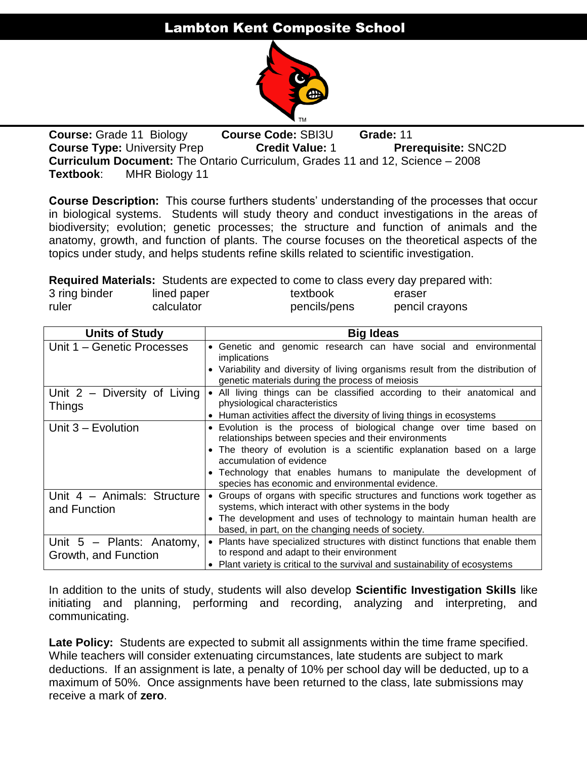# Lambton Kent Composite School



**Course:** Grade 11 Biology **Course Code:** SBI3U **Grade:** 11 **Course Type:** University Prep **Credit Value: 1 Prerequisite: SNC2D Curriculum Document:** The Ontario Curriculum, Grades 11 and 12, Science – 2008 **Textbook**: MHR Biology 11

**Course Description:** This course furthers students' understanding of the processes that occur in biological systems. Students will study theory and conduct investigations in the areas of biodiversity; evolution; genetic processes; the structure and function of animals and the anatomy, growth, and function of plants. The course focuses on the theoretical aspects of the topics under study, and helps students refine skills related to scientific investigation.

**Required Materials:** Students are expected to come to class every day prepared with:

| 3 ring binder | lined paper | textbook     | .<br>eraser    |
|---------------|-------------|--------------|----------------|
| ruler         | calculator  | pencils/pens | pencil crayons |

| <b>Units of Study</b>                               | <b>Big Ideas</b>                                                                                                                                                                                                                                                                                                                                          |
|-----------------------------------------------------|-----------------------------------------------------------------------------------------------------------------------------------------------------------------------------------------------------------------------------------------------------------------------------------------------------------------------------------------------------------|
| Unit 1 - Genetic Processes                          | • Genetic and genomic research can have social and environmental<br>implications<br>• Variability and diversity of living organisms result from the distribution of<br>genetic materials during the process of meiosis                                                                                                                                    |
| Unit 2 - Diversity of Living<br><b>Things</b>       | • All living things can be classified according to their anatomical and<br>physiological characteristics<br>• Human activities affect the diversity of living things in ecosystems                                                                                                                                                                        |
| Unit 3 - Evolution                                  | • Evolution is the process of biological change over time based on<br>relationships between species and their environments<br>• The theory of evolution is a scientific explanation based on a large<br>accumulation of evidence<br>• Technology that enables humans to manipulate the development of<br>species has economic and environmental evidence. |
| Unit 4 - Animals: Structure<br>and Function         | • Groups of organs with specific structures and functions work together as<br>systems, which interact with other systems in the body<br>• The development and uses of technology to maintain human health are<br>based, in part, on the changing needs of society.                                                                                        |
| Unit $5$ – Plants: Anatomy,<br>Growth, and Function | • Plants have specialized structures with distinct functions that enable them<br>to respond and adapt to their environment<br>• Plant variety is critical to the survival and sustainability of ecosystems                                                                                                                                                |

In addition to the units of study, students will also develop **Scientific Investigation Skills** like initiating and planning, performing and recording, analyzing and interpreting, and communicating.

Late Policy: Students are expected to submit all assignments within the time frame specified. While teachers will consider extenuating circumstances, late students are subject to mark deductions. If an assignment is late, a penalty of 10% per school day will be deducted, up to a maximum of 50%. Once assignments have been returned to the class, late submissions may receive a mark of **zero**.